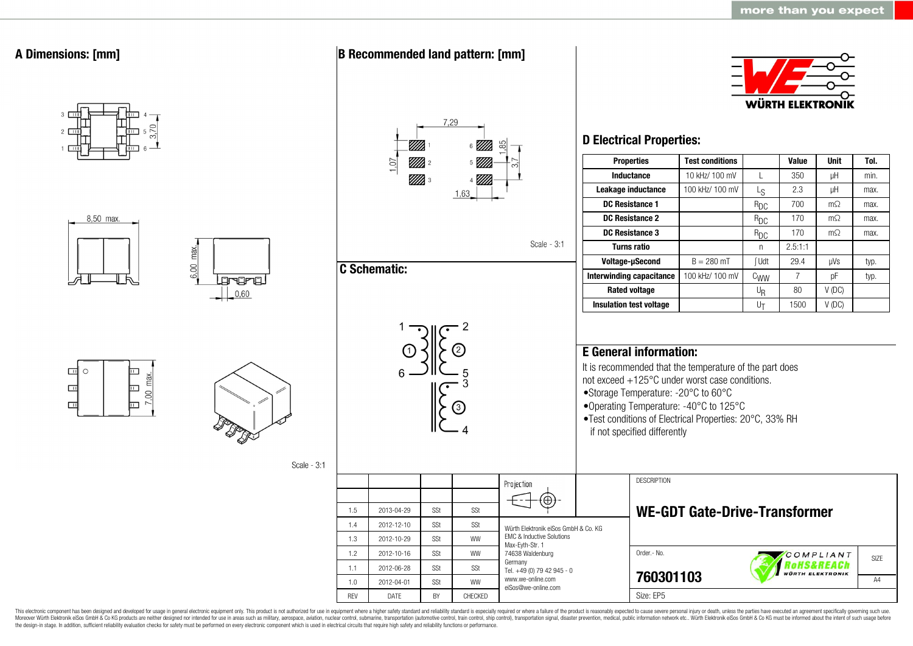

This electronic component has been designed and developed for usage in general electronic equipment only. This product is not authorized for use in equipment where a higher safety standard and reliability standard is espec Moreover Würth Elektronik eiSos GmbH & Co KG products are neither designed nor intended for use in areas such as military, aerospace, aviation, nuclear control, submarine, transportation (automotive control, ship control), the design-in stage. In addition, sufficient reliability evaluation checks for safety must be performed on every electronic component which is used in electrical circuits that require high safety and reliability functions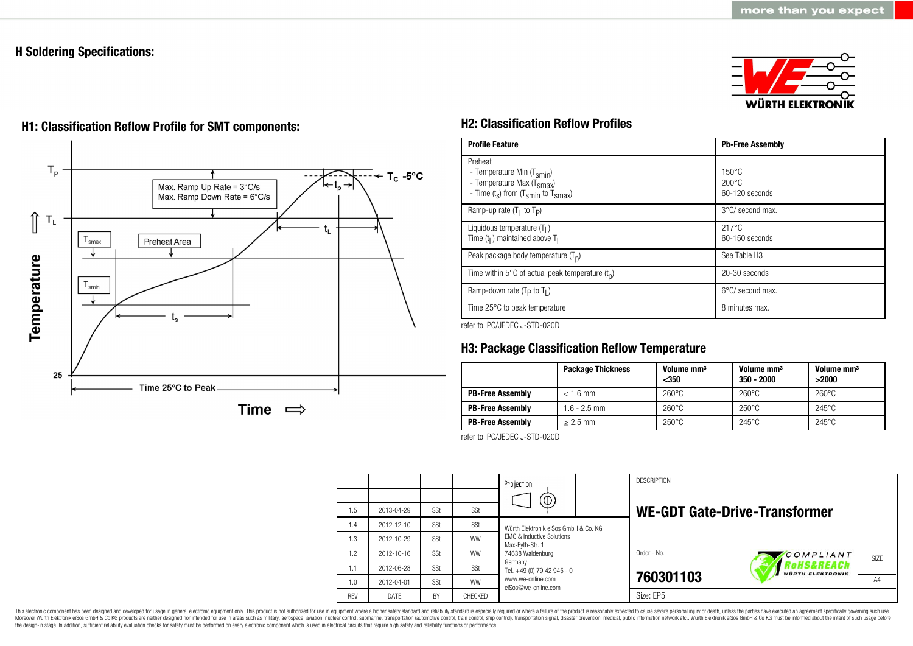## **H Soldering Specifications:**



# $T_{p}$  $T_c - 5$ °C Max. Ramp Up Rate = 3°C/s Max. Ramp Down Rate = 6°C/s ⇑  $\mathsf{T}_\mathsf{L}$ t. Preheat Area smax Temperature  $T_{\text{smin}}$ 25 Time 25°C to Peak Time  $\implies$

# **H1: Classification Reflow Profile for SMT components: H2: Classification Reflow Profiles**

| <b>Profile Feature</b>                                                                                                                        | <b>Pb-Free Assembly</b>                                |
|-----------------------------------------------------------------------------------------------------------------------------------------------|--------------------------------------------------------|
| Preheat<br>- Temperature Min (T <sub>smin</sub> )<br>- Temperature Max (T <sub>Smax</sub> )<br>- Time $(t_s)$ from $(T_{smin}$ to $T_{smax})$ | $150^{\circ}$ C<br>$200^{\circ}$ C<br>$60-120$ seconds |
| Ramp-up rate $(T_1$ to $T_p$ )                                                                                                                | $3^{\circ}$ C/ second max.                             |
| Liquidous temperature $(T1)$<br>Time $(t_1)$ maintained above $T_1$                                                                           | $217^{\circ}$ C<br>$60-150$ seconds                    |
| Peak package body temperature $(T_p)$                                                                                                         | See Table H <sub>3</sub>                               |
| Time within 5°C of actual peak temperature $(t_n)$                                                                                            | 20-30 seconds                                          |
| Ramp-down rate ( $T_P$ to $T_I$ )                                                                                                             | $6^{\circ}$ C/ second max.                             |
| Time 25°C to peak temperature                                                                                                                 | 8 minutes max.                                         |

refer to IPC/JEDEC J-STD-020D

## **H3: Package Classification Reflow Temperature**

|                         | <b>Package Thickness</b> | Volume mm <sup>3</sup><br>$350$ | Volume mm <sup>3</sup><br>$350 - 2000$ | Volume mm <sup>3</sup><br>>2000 |
|-------------------------|--------------------------|---------------------------------|----------------------------------------|---------------------------------|
| <b>PB-Free Assembly</b> | $< 1.6$ mm               | $260^{\circ}$ C                 | $260^{\circ}$ C                        | $260^{\circ}$ C                 |
| <b>PB-Free Assembly</b> | $1.6 - 2.5$ mm           | $260^{\circ}$ C                 | $250^{\circ}$ C                        | $245^{\circ}$ C                 |
| <b>PB-Free Assembly</b> | $> 2.5$ mm               | $250^{\circ}$ C                 | $245^{\circ}$ C                        | $245^{\circ}$ C                 |

refer to IPC/JEDEC J-STD-020D

|            |             |     |           | Projection<br>$\Theta$                                                      |  | <b>DESCRIPTION</b> |                                                        |                   |
|------------|-------------|-----|-----------|-----------------------------------------------------------------------------|--|--------------------|--------------------------------------------------------|-------------------|
| 1.5        | 2013-04-29  | SSt | SSt       |                                                                             |  |                    | <b>WE-GDT Gate-Drive-Transformer</b>                   |                   |
| 1.4        | 2012-12-10  | SSt | SSt       | Würth Elektronik eiSos GmbH & Co. KG                                        |  |                    |                                                        |                   |
| 1.3        | 2012-10-29  | SSt | <b>WW</b> | <b>EMC &amp; Inductive Solutions</b><br>Max-Eyth-Str. 1<br>74638 Waldenburg |  |                    |                                                        |                   |
| 1.2        | 2012-10-16  | SSt | <b>WW</b> |                                                                             |  | Order.- No.        | COMPLIANT                                              | SI <sub>7</sub> F |
| 1.1        | 2012-06-28  | SSt | SSt       | Germany<br>Tel. +49 (0) 79 42 945 - 0                                       |  |                    | <i><b>OHS&amp;REACh</b></i><br><b>WÜRTH ELEKTRONIK</b> |                   |
| 1.0        | 2012-04-01  | SSt | <b>WW</b> | www.we-online.com<br>eiSos@we-online.com                                    |  | 760301103          |                                                        | A4                |
| <b>RFV</b> | <b>DATE</b> | BY  | CHECKED   |                                                                             |  | Size: EP5          |                                                        |                   |

This electronic component has been designed and developed for usage in general electronic equipment only. This product is not authorized for use in equipment where a higher safety standard and reliability standard and reli Moreover Würth Elektronik eiSos GmbH & Co KG products are neither designed nor intended for use in areas such as military, aerospace, aviation, nuclear control, submarine, transportation (automotive control), stain control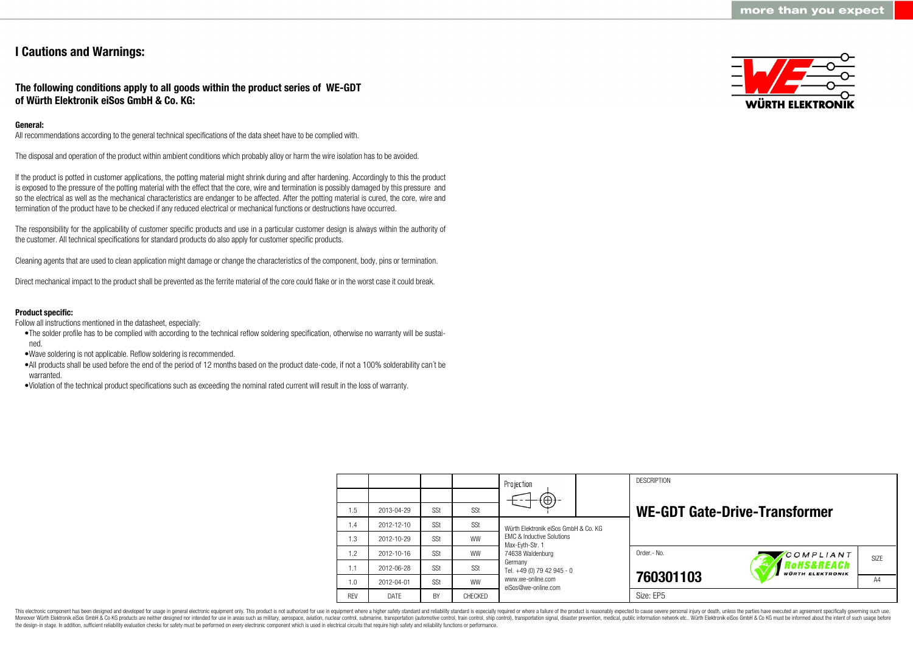## **I Cautions and Warnings:**

## **The following conditions apply to all goods within the product series of WE-GDT of Würth Elektronik eiSos GmbH & Co. KG:**

## **General:**

All recommendations according to the general technical specifications of the data sheet have to be complied with.

The disposal and operation of the product within ambient conditions which probably alloy or harm the wire isolation has to be avoided.

If the product is potted in customer applications, the potting material might shrink during and after hardening. Accordingly to this the product is exposed to the pressure of the potting material with the effect that the core, wire and termination is possibly damaged by this pressure and so the electrical as well as the mechanical characteristics are endanger to be affected. After the potting material is cured, the core, wire and termination of the product have to be checked if any reduced electrical or mechanical functions or destructions have occurred.

The responsibility for the applicability of customer specific products and use in a particular customer design is always within the authority of the customer. All technical specifications for standard products do also apply for customer specific products.

Cleaning agents that are used to clean application might damage or change the characteristics of the component, body, pins or termination.

Direct mechanical impact to the product shall be prevented as the ferrite material of the core could flake or in the worst case it could break.

#### **Product specific:**

Follow all instructions mentioned in the datasheet, especially:

- •The solder profile has to be complied with according to the technical reflow soldering specification, otherwise no warranty will be sustained.
- •Wave soldering is not applicable. Reflow soldering is recommended.
- •All products shall be used before the end of the period of 12 months based on the product date-code, if not a 100% solderability can´t be warranted
- •Violation of the technical product specifications such as exceeding the nominal rated current will result in the loss of warranty.



|            |            |     |           | Projection                                                                  |  | <b>DESCRIPTION</b> |                                      |                   |
|------------|------------|-----|-----------|-----------------------------------------------------------------------------|--|--------------------|--------------------------------------|-------------------|
|            |            |     |           | $\circledcirc$                                                              |  |                    |                                      |                   |
| 1.5        | 2013-04-29 | SSt | SSt       |                                                                             |  |                    | <b>WE-GDT Gate-Drive-Transformer</b> |                   |
| 1.4        | 2012-12-10 | SSt | SSt       | Würth Flektronik eiSos GmbH & Co. KG                                        |  |                    |                                      |                   |
| 1.3        | 2012-10-29 | SSt | <b>WW</b> | <b>EMC &amp; Inductive Solutions</b><br>Max-Eyth-Str. 1<br>74638 Waldenburg |  |                    |                                      |                   |
| 1.2        | 2012-10-16 | SSt | <b>WW</b> |                                                                             |  | Order - No.        | COMPLIANT                            | SI <sub>7</sub> F |
| 1.1        | 2012-06-28 | SSt | SSt       | Germany<br>Tel. +49 (0) 79 42 945 - 0                                       |  |                    | oHS&REACh<br><b>WÜRTH ELEKTRONIK</b> |                   |
| 1.0        | 2012-04-01 | SSt | <b>WW</b> | www.we-online.com<br>eiSos@we-online.com                                    |  | 760301103          |                                      | A4                |
| <b>RFV</b> | DATE       | BY  | CHECKED   |                                                                             |  | Size: EP5          |                                      |                   |

This electronic component has been designed and developed for usage in general electronic equipment only. This product is not authorized for use in equipment where a higher safety standard and reliability standard is espec Moreover Würth Elektronik eiSos GmbH & Co KG products are neither designed nor intended for use in areas such as military, aerospace, aviation, nuclear control, submarine, transportation (automotive control), tain control) the design-in stage. In addition, sufficient reliability evaluation checks for safety must be performed on every electronic component which is used in electrical circuits that require high safety and reliability functions